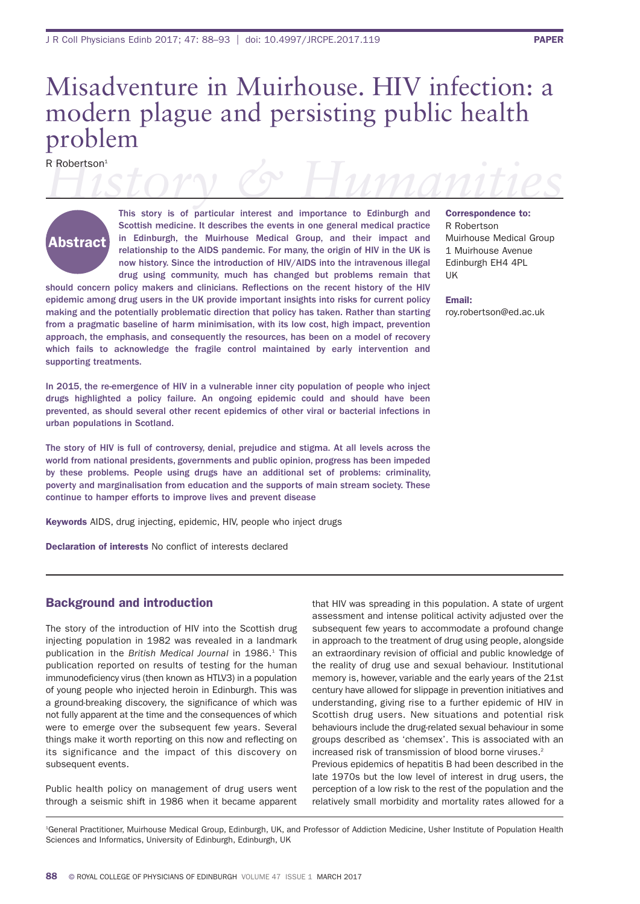# Misadventure in Muirhouse. HIV infection: a modern plague and persisting public health problem

*History & Humanities* R Robertson<sup>1</sup>



This story is of particular interest and importance to Edinburgh and Scottish medicine. It describes the events in one general medical practice in Edinburgh, the Muirhouse Medical Group, and their impact and relationship to the AIDS pandemic. For many, the origin of HIV in the UK is now history. Since the introduction of HIV/AIDS into the intravenous illegal drug using community, much has changed but problems remain that

should concern policy makers and clinicians. Reflections on the recent history of the HIV epidemic among drug users in the UK provide important insights into risks for current policy making and the potentially problematic direction that policy has taken. Rather than starting from a pragmatic baseline of harm minimisation, with its low cost, high impact, prevention approach, the emphasis, and consequently the resources, has been on a model of recovery which fails to acknowledge the fragile control maintained by early intervention and supporting treatments.

In 2015, the re-emergence of HIV in a vulnerable inner city population of people who inject drugs highlighted a policy failure. An ongoing epidemic could and should have been prevented, as should several other recent epidemics of other viral or bacterial infections in urban populations in Scotland.

The story of HIV is full of controversy, denial, prejudice and stigma. At all levels across the world from national presidents, governments and public opinion, progress has been impeded by these problems. People using drugs have an additional set of problems: criminality, poverty and marginalisation from education and the supports of main stream society. These continue to hamper efforts to improve lives and prevent disease

Keywords AIDS, drug injecting, epidemic, HIV, people who inject drugs

Declaration of interests No conflict of interests declared

#### Background and introduction

The story of the introduction of HIV into the Scottish drug injecting population in 1982 was revealed in a landmark publication in the *British Medical Journal* in 1986.<sup>1</sup> This publication reported on results of testing for the human immunodeficiency virus (then known as HTLV3) in a population of young people who injected heroin in Edinburgh. This was a ground-breaking discovery, the significance of which was not fully apparent at the time and the consequences of which were to emerge over the subsequent few years. several things make it worth reporting on this now and reflecting on its significance and the impact of this discovery on subsequent events.

Public health policy on management of drug users went through a seismic shift in 1986 when it became apparent that HIV was spreading in this population. A state of urgent assessment and intense political activity adjusted over the subsequent few years to accommodate a profound change in approach to the treatment of drug using people, alongside an extraordinary revision of official and public knowledge of the reality of drug use and sexual behaviour. institutional memory is, however, variable and the early years of the 21st century have allowed for slippage in prevention initiatives and understanding, giving rise to a further epidemic of hiv in Scottish drug users. New situations and potential risk behaviours include the drug-related sexual behaviour in some groups described as 'chemsex'. This is associated with an increased risk of transmission of blood borne viruses.<sup>2</sup>

Previous epidemics of hepatitis B had been described in the late 1970s but the low level of interest in drug users, the perception of a low risk to the rest of the population and the relatively small morbidity and mortality rates allowed for a

1 general Practitioner, muirhouse medical group, edinburgh, uK, and Professor of addiction medicine, usher institute of Population health Sciences and Informatics, University of Edinburgh, Edinburgh, UK

#### Correspondence to:

R Robertson Muirhouse Medical Group 1 Muirhouse Avenue Edinburgh EH4 4PL uK

#### Email:

roy.robertson@ed.ac.uk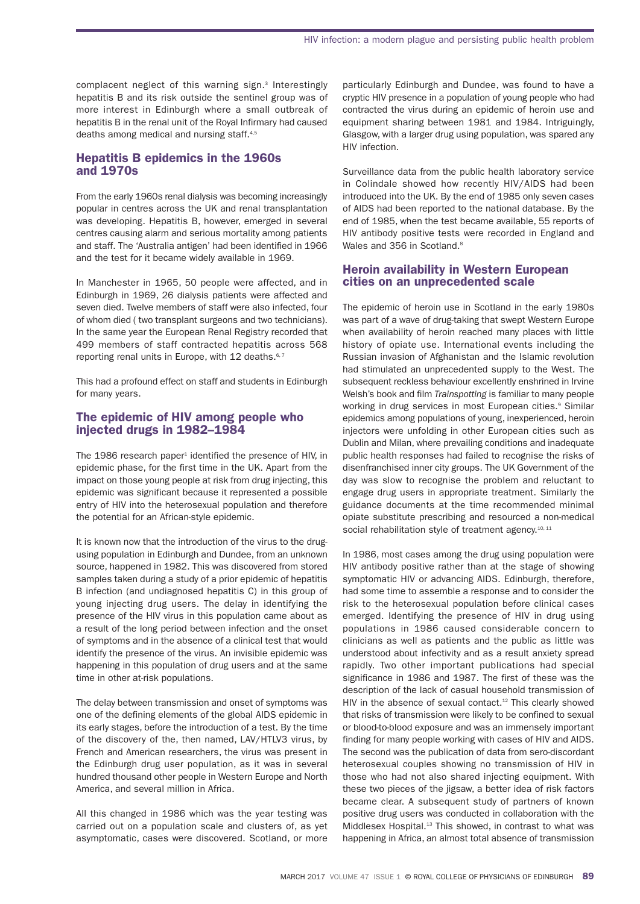complacent neglect of this warning sign.<sup>3</sup> Interestingly hepatitis B and its risk outside the sentinel group was of more interest in Edinburgh where a small outbreak of hepatitis B in the renal unit of the Royal Infirmary had caused deaths among medical and nursing staff.<sup>4,5</sup>

## Hepatitis B epidemics in the 1960s and 1970s

from the early 1960s renal dialysis was becoming increasingly popular in centres across the UK and renal transplantation was developing. Hepatitis B, however, emerged in several centres causing alarm and serious mortality among patients and staff. The 'Australia antigen' had been identified in 1966 and the test for it became widely available in 1969.

In Manchester in 1965, 50 people were affected, and in Edinburgh in 1969, 26 dialysis patients were affected and seven died. Twelve members of staff were also infected, four of whom died ( two transplant surgeons and two technicians). In the same year the European Renal Registry recorded that 499 members of staff contracted hepatitis across 568 reporting renal units in Europe, with 12 deaths.<sup>6,7</sup>

This had a profound effect on staff and students in Edinburgh for many years.

#### The epidemic of HIV among people who injected drugs in 1982–1984

The  $1986$  research paper<sup>1</sup> identified the presence of HIV, in epidemic phase, for the first time in the UK. Apart from the impact on those young people at risk from drug injecting, this epidemic was significant because it represented a possible entry of HIV into the heterosexual population and therefore the potential for an african-style epidemic.

It is known now that the introduction of the virus to the drugusing population in Edinburgh and Dundee, from an unknown source, happened in 1982. This was discovered from stored samples taken during a study of a prior epidemic of hepatitis B infection (and undiagnosed hepatitis C) in this group of young injecting drug users. The delay in identifying the presence of the HIV virus in this population came about as a result of the long period between infection and the onset of symptoms and in the absence of a clinical test that would identify the presence of the virus. An invisible epidemic was happening in this population of drug users and at the same time in other at-risk populations.

The delay between transmission and onset of symptoms was one of the defining elements of the global AIDS epidemic in its early stages, before the introduction of a test. By the time of the discovery of the, then named, lav/hTlv3 virus, by French and American researchers, the virus was present in the Edinburgh drug user population, as it was in several hundred thousand other people in Western Europe and North America, and several million in Africa.

all this changed in 1986 which was the year testing was carried out on a population scale and clusters of, as yet asymptomatic, cases were discovered. scotland, or more

particularly Edinburgh and Dundee, was found to have a cryptic hiv presence in a population of young people who had contracted the virus during an epidemic of heroin use and equipment sharing between 1981 and 1984. intriguingly, Glasgow, with a larger drug using population, was spared any HIV infection.

surveillance data from the public health laboratory service in Colindale showed how recently HIV/AIDS had been introduced into the UK. By the end of 1985 only seven cases of AIDS had been reported to the national database. By the end of 1985, when the test became available, 55 reports of HIV antibody positive tests were recorded in England and Wales and 356 in Scotland.<sup>8</sup>

### Heroin availability in Western European cities on an unprecedented scale

The epidemic of heroin use in Scotland in the early 1980s was part of a wave of drug-taking that swept Western Europe when availability of heroin reached many places with little history of opiate use. international events including the Russian invasion of afghanistan and the islamic revolution had stimulated an unprecedented supply to the West. The subsequent reckless behaviour excellently enshrined in irvine Welsh's book and film *Trainspotting* is familiar to many people working in drug services in most European cities.<sup>9</sup> Similar epidemics among populations of young, inexperienced, heroin injectors were unfolding in other European cities such as Dublin and Milan, where prevailing conditions and inadequate public health responses had failed to recognise the risks of disenfranchised inner city groups. The UK Government of the day was slow to recognise the problem and reluctant to engage drug users in appropriate treatment. similarly the guidance documents at the time recommended minimal opiate substitute prescribing and resourced a non-medical social rehabilitation style of treatment agency.<sup>10, 11</sup>

In 1986, most cases among the drug using population were HIV antibody positive rather than at the stage of showing symptomatic HIV or advancing AIDS. Edinburgh, therefore, had some time to assemble a response and to consider the risk to the heterosexual population before clinical cases emerged. identifying the presence of hiv in drug using populations in 1986 caused considerable concern to clinicians as well as patients and the public as little was understood about infectivity and as a result anxiety spread rapidly. Two other important publications had special significance in 1986 and 1987. The first of these was the description of the lack of casual household transmission of HIV in the absence of sexual contact.<sup>12</sup> This clearly showed that risks of transmission were likely to be confined to sexual or blood-to-blood exposure and was an immensely important finding for many people working with cases of HIV and AIDS. The second was the publication of data from sero-discordant heterosexual couples showing no transmission of hiv in those who had not also shared injecting equipment. With these two pieces of the jigsaw, a better idea of risk factors became clear. A subsequent study of partners of known positive drug users was conducted in collaboration with the Middlesex Hospital.<sup>13</sup> This showed, in contrast to what was happening in africa, an almost total absence of transmission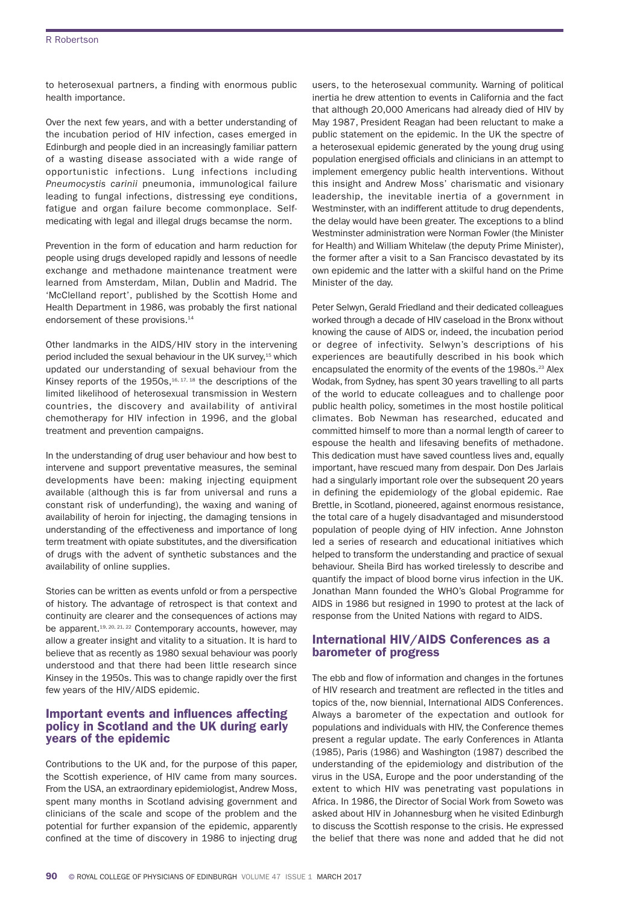to heterosexual partners, a finding with enormous public health importance.

Over the next few years, and with a better understanding of the incubation period of hiv infection, cases emerged in Edinburgh and people died in an increasingly familiar pattern of a wasting disease associated with a wide range of opportunistic infections. lung infections including *Pneumocystis carinii* pneumonia, immunological failure leading to fungal infections, distressing eye conditions, fatigue and organ failure become commonplace. selfmedicating with legal and illegal drugs becamse the norm.

Prevention in the form of education and harm reduction for people using drugs developed rapidly and lessons of needle exchange and methadone maintenance treatment were learned from Amsterdam, Milan, Dublin and Madrid. The 'mcClelland report', published by the scottish home and Health Department in 1986, was probably the first national endorsement of these provisions.14

Other landmarks in the AIDS/HIV story in the intervening period included the sexual behaviour in the UK survey,<sup>15</sup> which updated our understanding of sexual behaviour from the Kinsey reports of the  $1950s$ ,  $16$ ,  $17$ ,  $18$  the descriptions of the limited likelihood of heterosexual transmission in Western countries, the discovery and availability of antiviral chemotherapy for hiv infection in 1996, and the global treatment and prevention campaigns.

in the understanding of drug user behaviour and how best to intervene and support preventative measures, the seminal developments have been: making injecting equipment available (although this is far from universal and runs a constant risk of underfunding), the waxing and waning of availability of heroin for injecting, the damaging tensions in understanding of the effectiveness and importance of long term treatment with opiate substitutes, and the diversification of drugs with the advent of synthetic substances and the availability of online supplies.

stories can be written as events unfold or from a perspective of history. The advantage of retrospect is that context and continuity are clearer and the consequences of actions may be apparent.<sup>19, 20, 21, 22</sup> Contemporary accounts, however, may allow a greater insight and vitality to a situation. it is hard to believe that as recently as 1980 sexual behaviour was poorly understood and that there had been little research since Kinsey in the 1950s. This was to change rapidly over the first few years of the HIV/AIDS epidemic.

# Important events and influences affecting policy in Scotland and the UK during early years of the epidemic

Contributions to the UK and, for the purpose of this paper, the Scottish experience, of HIV came from many sources. From the USA, an extraordinary epidemiologist, Andrew Moss, spent many months in scotland advising government and clinicians of the scale and scope of the problem and the potential for further expansion of the epidemic, apparently confined at the time of discovery in 1986 to injecting drug users, to the heterosexual community. Warning of political inertia he drew attention to events in California and the fact that although 20,000 americans had already died of hiv by may 1987, President Reagan had been reluctant to make a public statement on the epidemic. In the UK the spectre of a heterosexual epidemic generated by the young drug using population energised officials and clinicians in an attempt to implement emergency public health interventions. Without this insight and Andrew Moss' charismatic and visionary leadership, the inevitable inertia of a government in Westminster, with an indifferent attitude to drug dependents, the delay would have been greater. The exceptions to a blind Westminster administration were Norman Fowler (the Minister for Health) and William Whitelaw (the deputy Prime Minister), the former after a visit to a San Francisco devastated by its own epidemic and the latter with a skilful hand on the Prime Minister of the day.

Peter Selwyn, Gerald Friedland and their dedicated colleagues worked through a decade of HIV caseload in the Bronx without knowing the cause of AIDS or, indeed, the incubation period or degree of infectivity. Selwyn's descriptions of his experiences are beautifully described in his book which encapsulated the enormity of the events of the 1980s.<sup>23</sup> Alex Wodak, from sydney, has spent 30 years travelling to all parts of the world to educate colleagues and to challenge poor public health policy, sometimes in the most hostile political climates. bob newman has researched, educated and committed himself to more than a normal length of career to espouse the health and lifesaving benefits of methadone. This dedication must have saved countless lives and, equally important, have rescued many from despair. Don Des Jarlais had a singularly important role over the subsequent 20 years in defining the epidemiology of the global epidemic. Rae brettle, in scotland, pioneered, against enormous resistance, the total care of a hugely disadvantaged and misunderstood population of people dying of hiv infection. anne Johnston led a series of research and educational initiatives which helped to transform the understanding and practice of sexual behaviour. Sheila Bird has worked tirelessly to describe and quantify the impact of blood borne virus infection in the UK. Jonathan Mann founded the WHO's Global Programme for AIDS in 1986 but resigned in 1990 to protest at the lack of response from the United Nations with regard to AIDS.

## International HIV/AIDS Conferences as a barometer of progress

The ebb and flow of information and changes in the fortunes of hiv research and treatment are reflected in the titles and topics of the, now biennial, International AIDS Conferences. always a barometer of the expectation and outlook for populations and individuals with HIV, the Conference themes present a regular update. The early Conferences in atlanta (1985), Paris (1986) and Washington (1987) described the understanding of the epidemiology and distribution of the virus in the USA, Europe and the poor understanding of the extent to which hiv was penetrating vast populations in Africa. In 1986, the Director of Social Work from Soweto was asked about HIV in Johannesburg when he visited Edinburgh to discuss the Scottish response to the crisis. He expressed the belief that there was none and added that he did not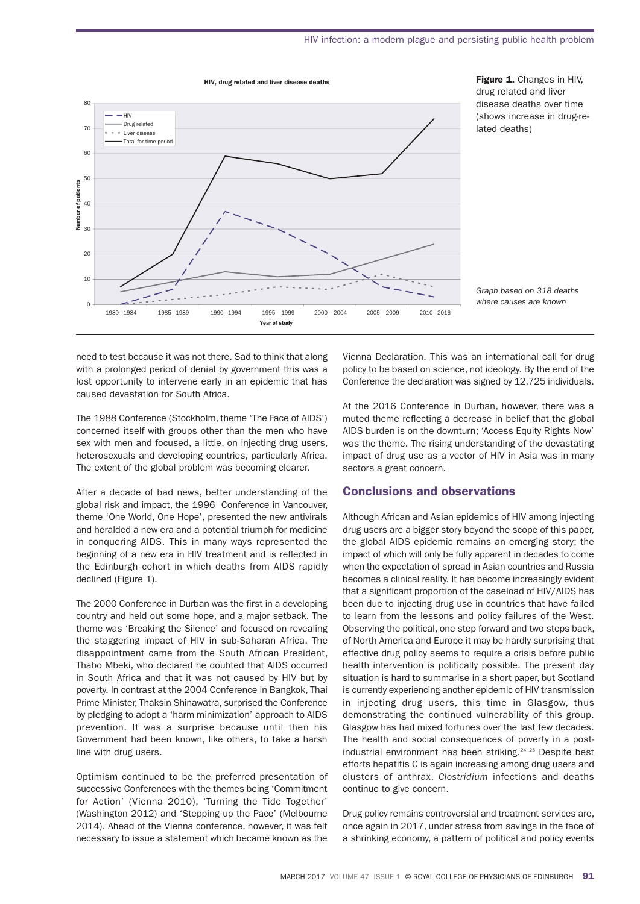

Figure 1. Changes in HIV, drug related and liver disease deaths over time (shows increase in drug-re-

*Graph based on 318 deaths where causes are known*

need to test because it was not there. sad to think that along with a prolonged period of denial by government this was a lost opportunity to intervene early in an epidemic that has caused devastation for South Africa.

The 1988 Conference (Stockholm, theme 'The Face of AIDS') concerned itself with groups other than the men who have sex with men and focused, a little, on injecting drug users, heterosexuals and developing countries, particularly Africa. The extent of the global problem was becoming clearer.

After a decade of bad news, better understanding of the global risk and impact, the 1996 Conference in vancouver, theme 'One World, One Hope', presented the new antivirals and heralded a new era and a potential triumph for medicine in conquering AIDS. This in many ways represented the beginning of a new era in HIV treatment and is reflected in the Edinburgh cohort in which deaths from AIDS rapidly declined (Figure 1).

The 2000 Conference in Durban was the first in a developing country and held out some hope, and a major setback. The theme was 'Breaking the Silence' and focused on revealing the staggering impact of HIV in sub-Saharan Africa. The disappointment came from the south african President, Thabo Mbeki, who declared he doubted that AIDS occurred in South Africa and that it was not caused by HIV but by poverty. in contrast at the 2004 Conference in bangkok, Thai Prime Minister, Thaksin Shinawatra, surprised the Conference by pledging to adopt a 'harm minimization' approach to AIDS prevention. it was a surprise because until then his government had been known, like others, to take a harsh line with drug users.

optimism continued to be the preferred presentation of successive Conferences with the themes being 'Commitment for action' (vienna 2010), 'Turning the Tide Together' (Washington 2012) and 'Stepping up the Pace' (Melbourne 2014). ahead of the vienna conference, however, it was felt necessary to issue a statement which became known as the vienna declaration. This was an international call for drug policy to be based on science, not ideology. By the end of the Conference the declaration was signed by 12,725 individuals.

At the 2016 Conference in Durban, however, there was a muted theme reflecting a decrease in belief that the global AIDS burden is on the downturn: 'Access Equity Rights Now' was the theme. The rising understanding of the devastating impact of drug use as a vector of HIV in Asia was in many sectors a great concern.

## Conclusions and observations

Although African and Asian epidemics of HIV among injecting drug users are a bigger story beyond the scope of this paper, the global AIDS epidemic remains an emerging story; the impact of which will only be fully apparent in decades to come when the expectation of spread in Asian countries and Russia becomes a clinical reality. it has become increasingly evident that a significant proportion of the caseload of HIV/AIDS has been due to injecting drug use in countries that have failed to learn from the lessons and policy failures of the West. observing the political, one step forward and two steps back, of North America and Europe it may be hardly surprising that effective drug policy seems to require a crisis before public health intervention is politically possible. The present day situation is hard to summarise in a short paper, but Scotland is currently experiencing another epidemic of hiv transmission in injecting drug users, this time in glasgow, thus demonstrating the continued vulnerability of this group. Glasgow has had mixed fortunes over the last few decades. The health and social consequences of poverty in a postindustrial environment has been striking.<sup>24, 25</sup> Despite best efforts hepatitis C is again increasing among drug users and clusters of anthrax, *Clostridium* infections and deaths continue to give concern.

Drug policy remains controversial and treatment services are, once again in 2017, under stress from savings in the face of a shrinking economy, a pattern of political and policy events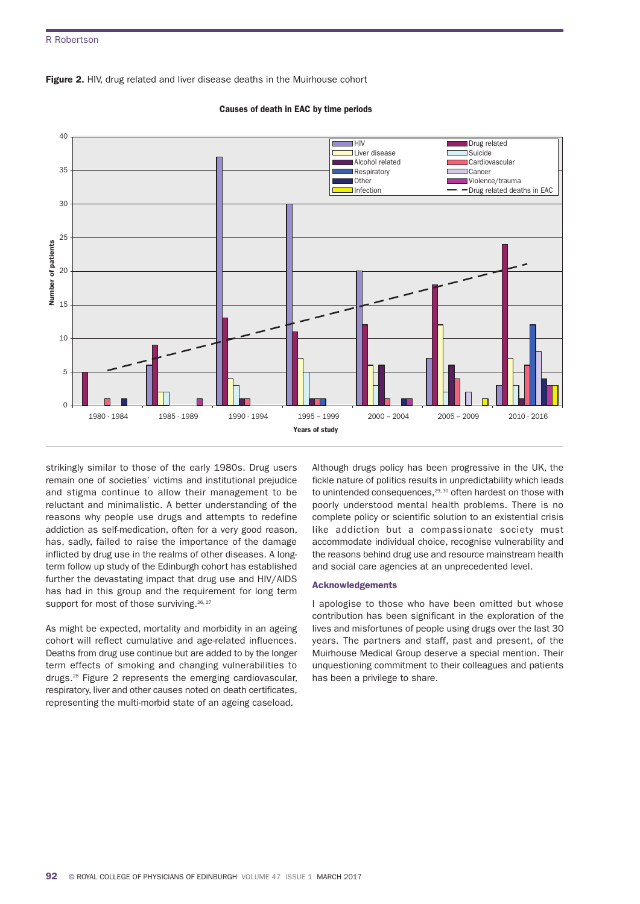



Causes of death in EAC by time periods

strikingly similar to those of the early 1980s. Drug users remain one of societies' victims and institutional prejudice and stigma continue to allow their management to be reluctant and minimalistic. a better understanding of the reasons why people use drugs and attempts to redefine addiction as self-medication, often for a very good reason, has, sadly, failed to raise the importance of the damage inflicted by drug use in the realms of other diseases. A longterm follow up study of the Edinburgh cohort has established further the devastating impact that drug use and HIV/AIDS has had in this group and the requirement for long term support for most of those surviving.<sup>26, 27</sup>

As might be expected, mortality and morbidity in an ageing cohort will reflect cumulative and age-related influences. Deaths from drug use continue but are added to by the longer term effects of smoking and changing vulnerabilities to drugs.28 figure 2 represents the emerging cardiovascular, respiratory, liver and other causes noted on death certificates, representing the multi-morbid state of an ageing caseload.

although drugs policy has been progressive in the uK, the fickle nature of politics results in unpredictability which leads to unintended consequences,<sup>29, 30</sup> often hardest on those with poorly understood mental health problems. There is no complete policy or scientific solution to an existential crisis like addiction but a compassionate society must accommodate individual choice, recognise vulnerability and the reasons behind drug use and resource mainstream health and social care agencies at an unprecedented level.

#### Acknowledgements

I apologise to those who have been omitted but whose contribution has been significant in the exploration of the lives and misfortunes of people using drugs over the last 30 years. The partners and staff, past and present, of the muirhouse medical group deserve a special mention. Their unquestioning commitment to their colleagues and patients has been a privilege to share.